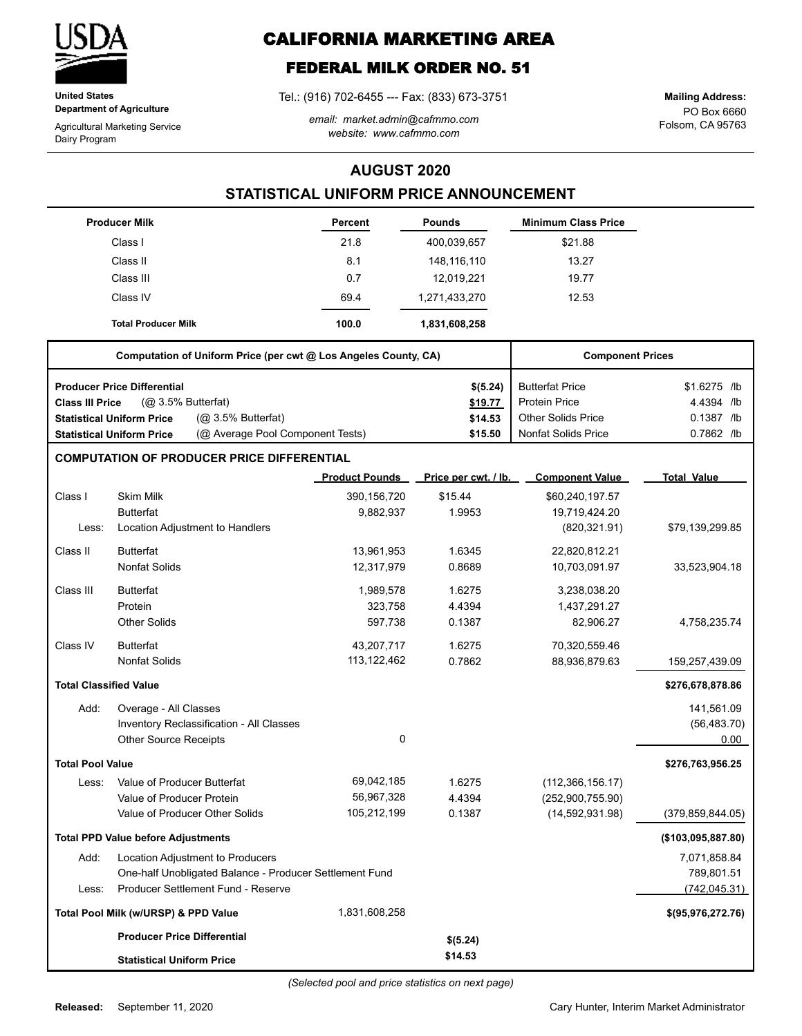

**United States Department of Agriculture**

Agricultural Marketing Service Dairy Program

# **CALIFORNIA MARKETING AREA**

## **FEDERAL MILK ORDER NO. 51**

Tel.: (916) 702-6455 --- Fax: (833) 673-3751

*email: market.admin@cafmmo.com website: www.cafmmo.com*

PO Box 6660 Folsom, CA 95763 **Mailing Address:**

### **AUGUST 2020**

### **STATISTICAL UNIFORM PRICE ANNOUNCEMENT**

|                               | <b>Producer Milk</b>                                                 | <b>Percent</b>        | <b>Pounds</b>        | <b>Minimum Class Price</b> |                     |
|-------------------------------|----------------------------------------------------------------------|-----------------------|----------------------|----------------------------|---------------------|
|                               | Class I                                                              | 21.8                  | 400,039,657          | \$21.88                    |                     |
|                               | Class II                                                             | 8.1                   | 148,116,110          | 13.27                      |                     |
|                               | Class III                                                            | 0.7                   | 12,019,221           | 19.77                      |                     |
|                               | Class IV                                                             | 69.4                  | 1,271,433,270        | 12.53                      |                     |
|                               | <b>Total Producer Milk</b>                                           | 100.0                 | 1,831,608,258        |                            |                     |
|                               | Computation of Uniform Price (per cwt @ Los Angeles County, CA)      |                       |                      | <b>Component Prices</b>    |                     |
|                               | <b>Producer Price Differential</b>                                   |                       | \$(5.24)             | <b>Butterfat Price</b>     | \$1.6275 /lb        |
| <b>Class III Price</b>        | (Q <sub>2</sub> 3.5% Butterfat)                                      |                       | \$19.77              | <b>Protein Price</b>       | 4.4394 /lb          |
|                               | (Q <sub>2</sub> 3.5% Butterfat)<br><b>Statistical Uniform Price</b>  |                       | \$14.53              | <b>Other Solids Price</b>  | 0.1387 /lb          |
|                               | (@ Average Pool Component Tests)<br><b>Statistical Uniform Price</b> |                       | \$15.50              | <b>Nonfat Solids Price</b> | 0.7862 /lb          |
|                               | <b>COMPUTATION OF PRODUCER PRICE DIFFERENTIAL</b>                    |                       |                      |                            |                     |
|                               |                                                                      | <b>Product Pounds</b> | Price per cwt. / lb. | <b>Component Value</b>     | <b>Total Value</b>  |
| Class I                       | <b>Skim Milk</b>                                                     | 390,156,720           | \$15.44              | \$60,240,197.57            |                     |
|                               | <b>Butterfat</b>                                                     | 9,882,937             | 1.9953               | 19,719,424.20              |                     |
| Less:                         | Location Adjustment to Handlers                                      |                       |                      | (820, 321.91)              | \$79,139,299.85     |
| Class II                      | <b>Butterfat</b>                                                     | 13,961,953            | 1.6345               | 22,820,812.21              |                     |
|                               | <b>Nonfat Solids</b>                                                 | 12,317,979            | 0.8689               | 10,703,091.97              | 33,523,904.18       |
| Class III                     | <b>Butterfat</b>                                                     | 1,989,578             | 1.6275               | 3,238,038.20               |                     |
|                               | Protein                                                              | 323,758               | 4.4394               | 1,437,291.27               |                     |
|                               | <b>Other Solids</b>                                                  | 597,738               | 0.1387               | 82,906.27                  | 4,758,235.74        |
| Class IV                      | <b>Butterfat</b>                                                     | 43,207,717            | 1.6275               | 70,320,559.46              |                     |
|                               | <b>Nonfat Solids</b>                                                 | 113, 122, 462         | 0.7862               | 88,936,879.63              | 159,257,439.09      |
| <b>Total Classified Value</b> |                                                                      |                       |                      |                            | \$276,678,878.86    |
| Add:                          | Overage - All Classes                                                |                       |                      |                            | 141,561.09          |
|                               | Inventory Reclassification - All Classes                             |                       |                      |                            | (56, 483.70)        |
|                               | <b>Other Source Receipts</b>                                         | 0                     |                      |                            | 0.00                |
| <b>Total Pool Value</b>       |                                                                      |                       |                      |                            | \$276,763,956.25    |
| Less:                         | Value of Producer Butterfat                                          | 69,042,185            | 1.6275               | (112, 366, 156.17)         |                     |
|                               | Value of Producer Protein                                            | 56,967,328            | 4.4394               | (252,900,755.90)           |                     |
|                               | Value of Producer Other Solids                                       | 105,212,199           | 0.1387               | (14, 592, 931.98)          | (379, 859, 844.05)  |
|                               | <b>Total PPD Value before Adjustments</b>                            |                       |                      |                            | (\$103,095,887.80)  |
| Add:                          | Location Adjustment to Producers                                     |                       |                      |                            | 7,071,858.84        |
|                               | One-half Unobligated Balance - Producer Settlement Fund              |                       |                      |                            | 789,801.51          |
| Less:                         | Producer Settlement Fund - Reserve                                   |                       |                      |                            | (742, 045.31)       |
|                               | Total Pool Milk (w/URSP) & PPD Value                                 | 1,831,608,258         |                      |                            | \$(95, 976, 272.76) |
|                               | <b>Producer Price Differential</b>                                   |                       | \$(5.24)             |                            |                     |
|                               | <b>Statistical Uniform Price</b>                                     |                       | \$14.53              |                            |                     |

Cary Hunter, Interim Market Administrator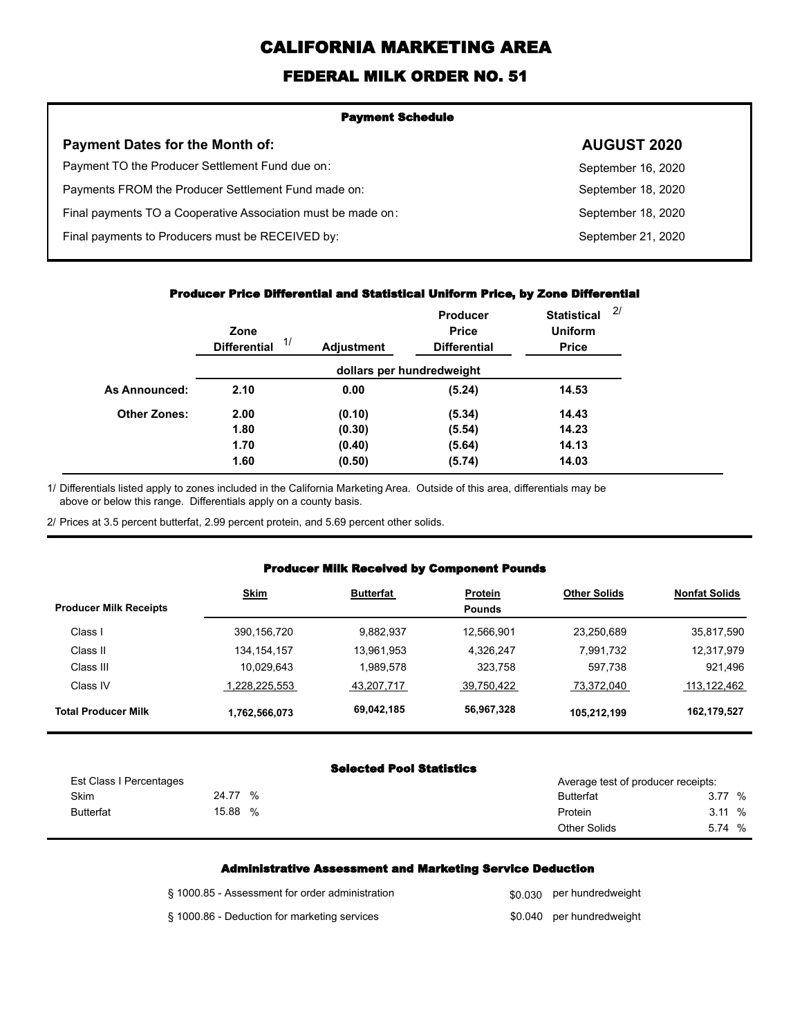# **CALIFORNIA MARKETING AREA**

## **FEDERAL MILK ORDER NO. 51**

| <b>Payment Schedule</b>                                      |                    |  |
|--------------------------------------------------------------|--------------------|--|
| <b>Payment Dates for the Month of:</b>                       | <b>AUGUST 2020</b> |  |
| Payment TO the Producer Settlement Fund due on:              | September 16, 2020 |  |
| Payments FROM the Producer Settlement Fund made on:          | September 18, 2020 |  |
| Final payments TO a Cooperative Association must be made on: | September 18, 2020 |  |
| Final payments to Producers must be RECEIVED by:             | September 21, 2020 |  |
|                                                              |                    |  |

#### **Producer Price Differential and Statistical Uniform Price, by Zone Differential**

|                     | Zone<br>1/<br><b>Differential</b> | <b>Adjustment</b> | <b>Producer</b><br><b>Price</b><br><b>Differential</b> | <b>Statistical</b><br><b>Uniform</b><br><b>Price</b> | 2/ |
|---------------------|-----------------------------------|-------------------|--------------------------------------------------------|------------------------------------------------------|----|
|                     |                                   |                   | dollars per hundredweight                              |                                                      |    |
| As Announced:       | 2.10                              | 0.00              | (5.24)                                                 | 14.53                                                |    |
| <b>Other Zones:</b> | 2.00                              | (0.10)            | (5.34)                                                 | 14.43                                                |    |
|                     | 1.80                              | (0.30)            | (5.54)                                                 | 14.23                                                |    |
|                     | 1.70                              | (0.40)            | (5.64)                                                 | 14.13                                                |    |
|                     | 1.60                              | (0.50)            | (5.74)                                                 | 14.03                                                |    |

Differentials listed apply to zones included in the California Marketing Area. Outside of this area, differentials may be above or below this range. Differentials apply on a county basis. 1/

2/ Prices at 3.5 percent butterfat, 2.99 percent protein, and 5.69 percent other solids.

#### **Producer Milk Received by Component Pounds**

| <b>Producer Milk Receipts</b> | <b>Skim</b>   | <b>Butterfat</b> | <b>Protein</b><br><b>Pounds</b> | <b>Other Solids</b> | <b>Nonfat Solids</b> |
|-------------------------------|---------------|------------------|---------------------------------|---------------------|----------------------|
| Class I                       | 390,156,720   | 9,882,937        | 12,566,901                      | 23,250,689          | 35,817,590           |
| Class II                      | 134, 154, 157 | 13,961,953       | 4,326,247                       | 7,991,732           | 12,317,979           |
| Class III                     | 10,029,643    | 1.989.578        | 323,758                         | 597,738             | 921,496              |
| Class IV                      | 1,228,225,553 | 43,207,717       | 39,750,422                      | 73,372,040          | 113,122,462          |
| <b>Total Producer Milk</b>    | 1,762,566,073 | 69.042,185       | 56,967,328                      | 105,212,199         | 162,179,527          |

#### **Selected Pool Statistics**

| Est Class I Percentages |            | Average test of producer receipts: |              |
|-------------------------|------------|------------------------------------|--------------|
| Skim                    | 24.77<br>% | <b>Butterfat</b>                   | 3.77 %       |
| <b>Butterfat</b>        | 15.88<br>% | Protein                            | 3.11%        |
|                         |            | <b>Other Solids</b>                | $\%$<br>5.74 |

#### **Administrative Assessment and Marketing Service Deduction**

| § 1000.85 - Assessment for order administration | \$0,030 per hundredweight |
|-------------------------------------------------|---------------------------|
| § 1000.86 - Deduction for marketing services    | \$0.040 per hundredweight |